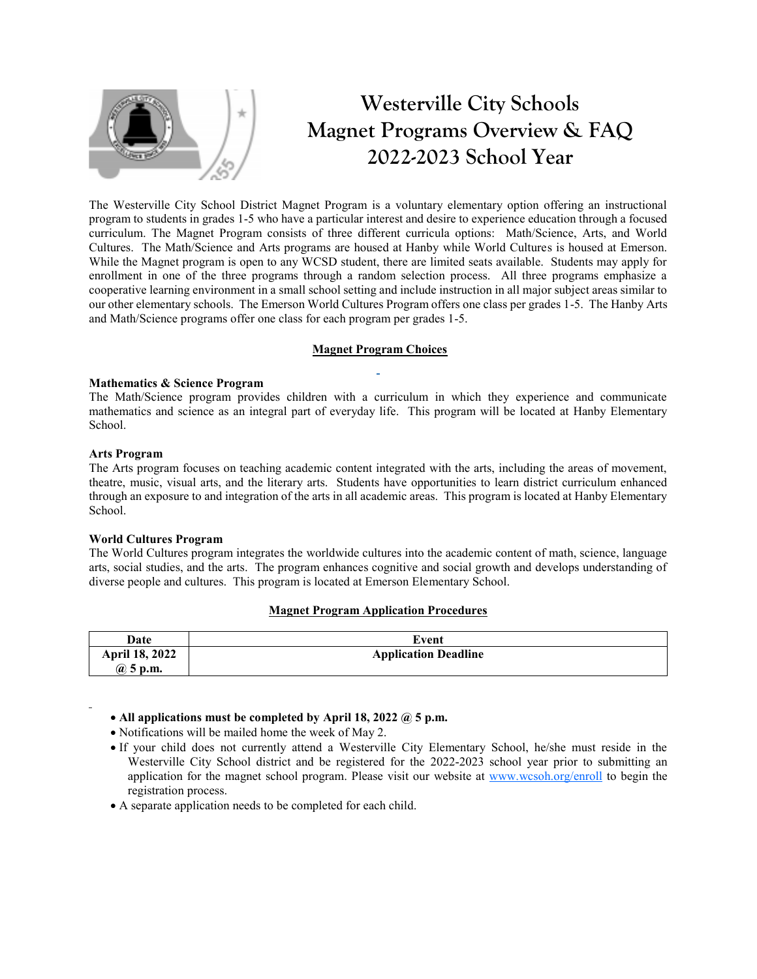

# **Westerville City Schools Magnet Programs Overview & FAQ 2022-2023 School Year**

The Westerville City School District Magnet Program is a voluntary elementary option offering an instructional program to students in grades 1-5 who have a particular interest and desire to experience education through a focused curriculum. The Magnet Program consists of three different curricula options: Math/Science, Arts, and World Cultures. The Math/Science and Arts programs are housed at Hanby while World Cultures is housed at Emerson. While the Magnet program is open to any WCSD student, there are limited seats available. Students may apply for enrollment in one of the three programs through a random selection process. All three programs emphasize a cooperative learning environment in a small school setting and include instruction in all major subject areas similar to our other elementary schools. The Emerson World Cultures Program offers one class per grades 1-5. The Hanby Arts and Math/Science programs offer one class for each program per grades 1-5.

## **Magnet Program Choices**

#### **Mathematics & Science Program**

The Math/Science program provides children with a curriculum in which they experience and communicate mathematics and science as an integral part of everyday life. This program will be located at Hanby Elementary School.

#### **Arts Program**

The Arts program focuses on teaching academic content integrated with the arts, including the areas of movement, theatre, music, visual arts, and the literary arts. Students have opportunities to learn district curriculum enhanced through an exposure to and integration of the arts in all academic areas. This program is located at Hanby Elementary School.

# **World Cultures Program**

The World Cultures program integrates the worldwide cultures into the academic content of math, science, language arts, social studies, and the arts. The program enhances cognitive and social growth and develops understanding of diverse people and cultures. This program is located at Emerson Elementary School.

# **Magnet Program Application Procedures**

| Date                  | Event                       |
|-----------------------|-----------------------------|
| <b>April 18, 2022</b> | <b>Application Deadline</b> |
| @ 5 p.m.              |                             |

# **All applications must be completed by April 18, 2022 @ 5 p.m.**

Notifications will be mailed home the week of May 2.

- If your child does not currently attend a Westerville City Elementary School, he/she must reside in the Westerville City School district and be registered for the 2022-2023 school year prior to submitting an application for the magnet school program. Please visit our website at [www.wcsoh.org/enroll](http://www.wcsoh.org/enroll) to begin the registration process.
- A separate application needs to be completed for each child.